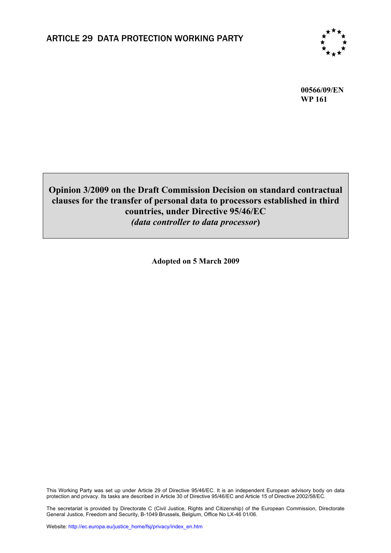

**00566/09/EN WP 161**

# **Opinion 3/2009 on the Draft Commission Decision on standard contractual clauses for the transfer of personal data to processors established in third countries, under Directive 95/46/EC**  *(data controller to data processor***)**

**Adopted on 5 March 2009** 

This Working Party was set up under Article 29 of Directive 95/46/EC. It is an independent European advisory body on data protection and privacy. Its tasks are described in Article 30 of Directive 95/46/EC and Article 15 of Directive 2002/58/EC.

The secretariat is provided by Directorate C (Civil Justice, Rights and Citizenship) of the European Commission, Directorate General Justice, Freedom and Security, B-1049 Brussels, Belgium, Office No LX-46 01/06.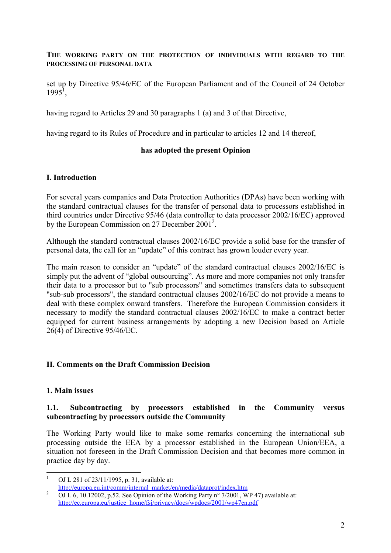### **THE WORKING PARTY ON THE PROTECTION OF INDIVIDUALS WITH REGARD TO THE PROCESSING OF PERSONAL DATA**

set up by Directive 95/46/EC of the European Parliament and of the Council of 24 October  $1995^1$ ,

having regard to Articles 29 and 30 paragraphs 1 (a) and 3 of that Directive,

having regard to its Rules of Procedure and in particular to articles 12 and 14 thereof,

### **has adopted the present Opinion**

### **I. Introduction**

For several years companies and Data Protection Authorities (DPAs) have been working with the standard contractual clauses for the transfer of personal data to processors established in third countries under Directive 95/46 (data controller to data processor 2002/16/EC) approved by the European Commission on 27 December  $2001^2$ .

Although the standard contractual clauses 2002/16/EC provide a solid base for the transfer of personal data, the call for an "update" of this contract has grown louder every year.

The main reason to consider an "update" of the standard contractual clauses 2002/16/EC is simply put the advent of "global outsourcing". As more and more companies not only transfer their data to a processor but to "sub processors" and sometimes transfers data to subsequent "sub-sub processors", the standard contractual clauses 2002/16/EC do not provide a means to deal with these complex onward transfers. Therefore the European Commission considers it necessary to modify the standard contractual clauses 2002/16/EC to make a contract better equipped for current business arrangements by adopting a new Decision based on Article 26(4) of Directive 95/46/EC.

### **II. Comments on the Draft Commission Decision**

#### **1. Main issues**

1

#### **1.1. Subcontracting by processors established in the Community versus subcontracting by processors outside the Community**

The Working Party would like to make some remarks concerning the international sub processing outside the EEA by a processor established in the European Union/EEA, a situation not foreseen in the Draft Commission Decision and that becomes more common in practice day by day.

<sup>1</sup> OJ L 281 of 23/11/1995, p. 31, available at:

http://europa.eu.int/comm/internal\_market/en/media/dataprot/index.htm  $\frac{2}{\text{OOL}}$ 

OJ L 6, 10.12002, p.52. See Opinion of the Working Party n° 7/2001, WP 47) available at: http://ec.europa.eu/justice\_home/fsj/privacy/docs/wpdocs/2001/wp47en.pdf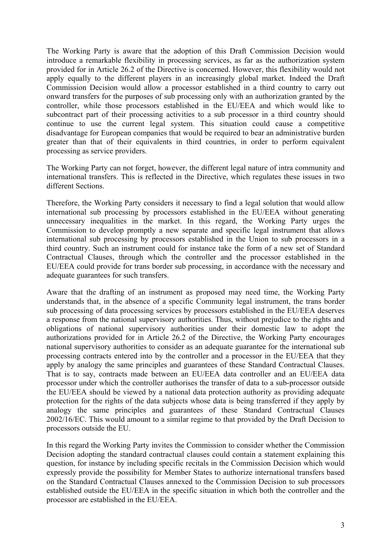The Working Party is aware that the adoption of this Draft Commission Decision would introduce a remarkable flexibility in processing services, as far as the authorization system provided for in Article 26.2 of the Directive is concerned. However, this flexibility would not apply equally to the different players in an increasingly global market. Indeed the Draft Commission Decision would allow a processor established in a third country to carry out onward transfers for the purposes of sub processing only with an authorization granted by the controller, while those processors established in the EU/EEA and which would like to subcontract part of their processing activities to a sub processor in a third country should continue to use the current legal system. This situation could cause a competitive disadvantage for European companies that would be required to bear an administrative burden greater than that of their equivalents in third countries, in order to perform equivalent processing as service providers.

The Working Party can not forget, however, the different legal nature of intra community and international transfers. This is reflected in the Directive, which regulates these issues in two different Sections.

Therefore, the Working Party considers it necessary to find a legal solution that would allow international sub processing by processors established in the EU/EEA without generating unnecessary inequalities in the market. In this regard, the Working Party urges the Commission to develop promptly a new separate and specific legal instrument that allows international sub processing by processors established in the Union to sub processors in a third country. Such an instrument could for instance take the form of a new set of Standard Contractual Clauses, through which the controller and the processor established in the EU/EEA could provide for trans border sub processing, in accordance with the necessary and adequate guarantees for such transfers.

Aware that the drafting of an instrument as proposed may need time, the Working Party understands that, in the absence of a specific Community legal instrument, the trans border sub processing of data processing services by processors established in the EU/EEA deserves a response from the national supervisory authorities. Thus, without prejudice to the rights and obligations of national supervisory authorities under their domestic law to adopt the authorizations provided for in Article 26.2 of the Directive, the Working Party encourages national supervisory authorities to consider as an adequate guarantee for the international sub processing contracts entered into by the controller and a processor in the EU/EEA that they apply by analogy the same principles and guarantees of these Standard Contractual Clauses. That is to say, contracts made between an EU/EEA data controller and an EU/EEA data processor under which the controller authorises the transfer of data to a sub-processor outside the EU/EEA should be viewed by a national data protection authority as providing adequate protection for the rights of the data subjects whose data is being transferred if they apply by analogy the same principles and guarantees of these Standard Contractual Clauses 2002/16/EC. This would amount to a similar regime to that provided by the Draft Decision to processors outside the EU.

In this regard the Working Party invites the Commission to consider whether the Commission Decision adopting the standard contractual clauses could contain a statement explaining this question, for instance by including specific recitals in the Commission Decision which would expressly provide the possibility for Member States to authorize international transfers based on the Standard Contractual Clauses annexed to the Commission Decision to sub processors established outside the EU/EEA in the specific situation in which both the controller and the processor are established in the EU/EEA.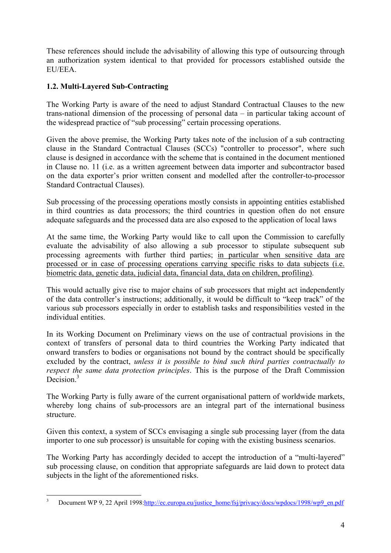These references should include the advisability of allowing this type of outsourcing through an authorization system identical to that provided for processors established outside the EU/EEA.

# **1.2. Multi-Layered Sub-Contracting**

The Working Party is aware of the need to adjust Standard Contractual Clauses to the new trans-national dimension of the processing of personal data – in particular taking account of the widespread practice of "sub processing" certain processing operations.

Given the above premise, the Working Party takes note of the inclusion of a sub contracting clause in the Standard Contractual Clauses (SCCs) "controller to processor", where such clause is designed in accordance with the scheme that is contained in the document mentioned in Clause no. 11 (i.e. as a written agreement between data importer and subcontractor based on the data exporter's prior written consent and modelled after the controller-to-processor Standard Contractual Clauses).

Sub processing of the processing operations mostly consists in appointing entities established in third countries as data processors; the third countries in question often do not ensure adequate safeguards and the processed data are also exposed to the application of local laws

At the same time, the Working Party would like to call upon the Commission to carefully evaluate the advisability of also allowing a sub processor to stipulate subsequent sub processing agreements with further third parties; in particular when sensitive data are processed or in case of processing operations carrying specific risks to data subjects (i.e. biometric data, genetic data, judicial data, financial data, data on children, profiling).

This would actually give rise to major chains of sub processors that might act independently of the data controller's instructions; additionally, it would be difficult to "keep track" of the various sub processors especially in order to establish tasks and responsibilities vested in the individual entities.

In its Working Document on Preliminary views on the use of contractual provisions in the context of transfers of personal data to third countries the Working Party indicated that onward transfers to bodies or organisations not bound by the contract should be specifically excluded by the contract, *unless it is possible to bind such third parties contractually to respect the same data protection principles*. This is the purpose of the Draft Commission Decision<sup>3</sup>

The Working Party is fully aware of the current organisational pattern of worldwide markets, whereby long chains of sub-processors are an integral part of the international business structure.

Given this context, a system of SCCs envisaging a single sub processing layer (from the data importer to one sub processor) is unsuitable for coping with the existing business scenarios.

The Working Party has accordingly decided to accept the introduction of a "multi-layered" sub processing clause, on condition that appropriate safeguards are laid down to protect data subjects in the light of the aforementioned risks.

<sup>1</sup> 3 Document WP 9, 22 April 1998:http://ec.europa.eu/justice\_home/fsj/privacy/docs/wpdocs/1998/wp9\_en.pdf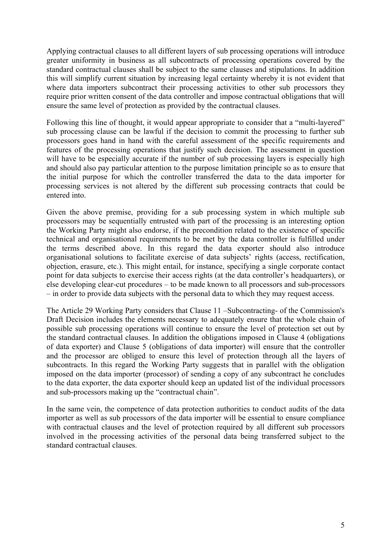Applying contractual clauses to all different layers of sub processing operations will introduce greater uniformity in business as all subcontracts of processing operations covered by the standard contractual clauses shall be subject to the same clauses and stipulations. In addition this will simplify current situation by increasing legal certainty whereby it is not evident that where data importers subcontract their processing activities to other sub processors they require prior written consent of the data controller and impose contractual obligations that will ensure the same level of protection as provided by the contractual clauses.

Following this line of thought, it would appear appropriate to consider that a "multi-layered" sub processing clause can be lawful if the decision to commit the processing to further sub processors goes hand in hand with the careful assessment of the specific requirements and features of the processing operations that justify such decision. The assessment in question will have to be especially accurate if the number of sub processing layers is especially high and should also pay particular attention to the purpose limitation principle so as to ensure that the initial purpose for which the controller transferred the data to the data importer for processing services is not altered by the different sub processing contracts that could be entered into.

Given the above premise, providing for a sub processing system in which multiple sub processors may be sequentially entrusted with part of the processing is an interesting option the Working Party might also endorse, if the precondition related to the existence of specific technical and organisational requirements to be met by the data controller is fulfilled under the terms described above. In this regard the data exporter should also introduce organisational solutions to facilitate exercise of data subjects' rights (access, rectification, objection, erasure, etc.). This might entail, for instance, specifying a single corporate contact point for data subjects to exercise their access rights (at the data controller's headquarters), or else developing clear-cut procedures – to be made known to all processors and sub-processors – in order to provide data subjects with the personal data to which they may request access.

The Article 29 Working Party considers that Clause 11 –Subcontracting- of the Commission's Draft Decision includes the elements necessary to adequately ensure that the whole chain of possible sub processing operations will continue to ensure the level of protection set out by the standard contractual clauses. In addition the obligations imposed in Clause 4 (obligations of data exporter) and Clause 5 (obligations of data importer) will ensure that the controller and the processor are obliged to ensure this level of protection through all the layers of subcontracts. In this regard the Working Party suggests that in parallel with the obligation imposed on the data importer (processor) of sending a copy of any subcontract he concludes to the data exporter, the data exporter should keep an updated list of the individual processors and sub-processors making up the "contractual chain".

In the same vein, the competence of data protection authorities to conduct audits of the data importer as well as sub processors of the data importer will be essential to ensure compliance with contractual clauses and the level of protection required by all different sub processors involved in the processing activities of the personal data being transferred subject to the standard contractual clauses.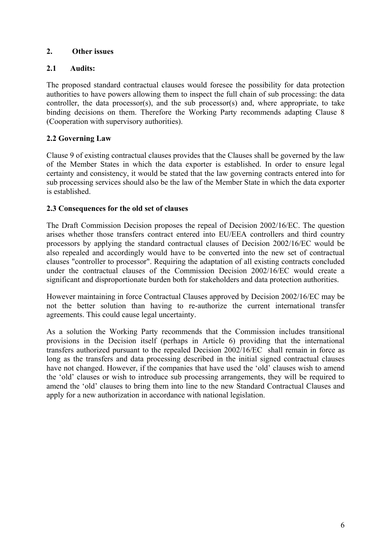# **2. Other issues**

# **2.1 Audits:**

The proposed standard contractual clauses would foresee the possibility for data protection authorities to have powers allowing them to inspect the full chain of sub processing: the data controller, the data processor(s), and the sub processor(s) and, where appropriate, to take binding decisions on them. Therefore the Working Party recommends adapting Clause 8 (Cooperation with supervisory authorities).

# **2.2 Governing Law**

Clause 9 of existing contractual clauses provides that the Clauses shall be governed by the law of the Member States in which the data exporter is established. In order to ensure legal certainty and consistency, it would be stated that the law governing contracts entered into for sub processing services should also be the law of the Member State in which the data exporter is established.

# **2.3 Consequences for the old set of clauses**

The Draft Commission Decision proposes the repeal of Decision 2002/16/EC. The question arises whether those transfers contract entered into EU/EEA controllers and third country processors by applying the standard contractual clauses of Decision 2002/16/EC would be also repealed and accordingly would have to be converted into the new set of contractual clauses "controller to processor". Requiring the adaptation of all existing contracts concluded under the contractual clauses of the Commission Decision 2002/16/EC would create a significant and disproportionate burden both for stakeholders and data protection authorities.

However maintaining in force Contractual Clauses approved by Decision 2002/16/EC may be not the better solution than having to re-authorize the current international transfer agreements. This could cause legal uncertainty.

As a solution the Working Party recommends that the Commission includes transitional provisions in the Decision itself (perhaps in Article 6) providing that the international transfers authorized pursuant to the repealed Decision 2002/16/EC shall remain in force as long as the transfers and data processing described in the initial signed contractual clauses have not changed. However, if the companies that have used the 'old' clauses wish to amend the 'old' clauses or wish to introduce sub processing arrangements, they will be required to amend the 'old' clauses to bring them into line to the new Standard Contractual Clauses and apply for a new authorization in accordance with national legislation.